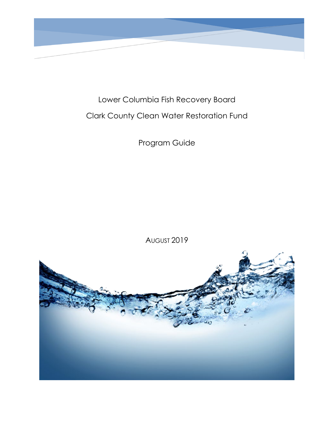

Lower Columbia Fish Recovery Board Clark County Clean Water Restoration Fund

Program Guide

AUGUST 2019

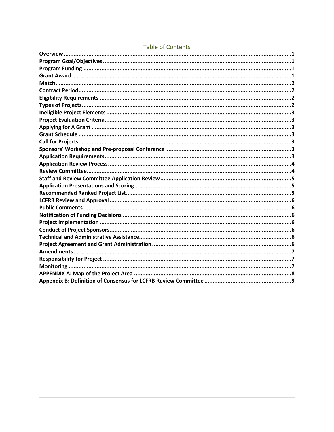# **Table of Contents**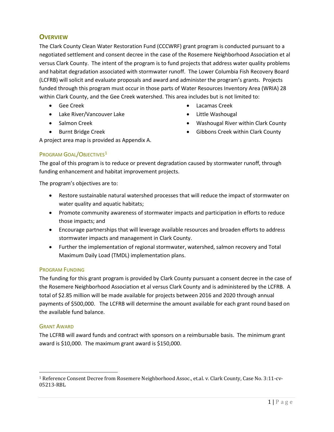# <span id="page-2-0"></span>**OVERVIEW**

The Clark County Clean Water Restoration Fund (CCCWRF) grant program is conducted pursuant to a negotiated settlement and consent decree in the case of the Rosemere Neighborhood Association et al versus Clark County. The intent of the program is to fund projects that address water quality problems and habitat degradation associated with stormwater runoff. The Lower Columbia Fish Recovery Board (LCFRB) will solicit and evaluate proposals and award and administer the program's grants. Projects funded through this program must occur in those parts of Water Resources Inventory Area (WRIA) 28 within Clark County, and the Gee Creek watershed. This area includes but is not limited to:

- Gee Creek
- Lake River/Vancouver Lake
- Salmon Creek
- Burnt Bridge Creek
- Lacamas Creek
- Little Washougal
- Washougal River within Clark County
- Gibbons Creek within Clark County

A project area map is provided as Appendix A.

# <span id="page-2-1"></span>PROGRAM GOAL/OBJECTIVES<sup>[1](#page-2-4)</sup>

The goal of this program is to reduce or prevent degradation caused by stormwater runoff, through funding enhancement and habitat improvement projects.

The program's objectives are to:

- Restore sustainable natural watershed processes that will reduce the impact of stormwater on water quality and aquatic habitats;
- Promote community awareness of stormwater impacts and participation in efforts to reduce those impacts; and
- Encourage partnerships that will leverage available resources and broaden efforts to address stormwater impacts and management in Clark County.
- Further the implementation of regional stormwater, watershed, salmon recovery and Total Maximum Daily Load (TMDL) implementation plans.

# <span id="page-2-2"></span>PROGRAM FUNDING

The funding for this grant program is provided by Clark County pursuant a consent decree in the case of the Rosemere Neighborhood Association et al versus Clark County and is administered by the LCFRB. A total of \$2.85 million will be made available for projects between 2016 and 2020 through annual payments of \$500,000. The LCFRB will determine the amount available for each grant round based on the available fund balance.

### <span id="page-2-3"></span>GRANT AWARD

The LCFRB will award funds and contract with sponsors on a reimbursable basis. The minimum grant award is \$10,000. The maximum grant award is \$150,000.

<span id="page-2-4"></span> <sup>1</sup> Reference Consent Decree from Rosemere Neighborhood Assoc., et.al. v. Clark County, Case No. 3:11-cv-05213-RBL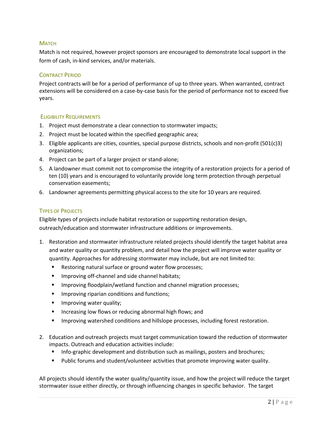## <span id="page-3-0"></span>**MATCH**

Match is not required, however project sponsors are encouraged to demonstrate local support in the form of cash, in-kind services, and/or materials.

## <span id="page-3-1"></span>CONTRACT PERIOD

Project contracts will be for a period of performance of up to three years. When warranted, contract extensions will be considered on a case-by-case basis for the period of performance not to exceed five years.

### <span id="page-3-2"></span>ELIGIBILITY REQUIREMENTS

- 1. Project must demonstrate a clear connection to stormwater impacts;
- 2. Project must be located within the specified geographic area;
- 3. Eligible applicants are cities, counties, special purpose districts, schools and non-profit (501(c)3) organizations;
- 4. Project can be part of a larger project or stand-alone;
- 5. A landowner must commit not to compromise the integrity of a restoration projects for a period of ten (10) years and is encouraged to voluntarily provide long term protection through perpetual conservation easements;
- 6. Landowner agreements permitting physical access to the site for 10 years are required.

## <span id="page-3-3"></span>TYPES OF PROJECTS

Eligible types of projects include habitat restoration or supporting restoration design, outreach/education and stormwater infrastructure additions or improvements.

- 1. Restoration and stormwater infrastructure related projects should identify the target habitat area and water quality or quantity problem, and detail how the project will improve water quality or quantity. Approaches for addressing stormwater may include, but are not limited to:
	- Restoring natural surface or ground water flow processes;
	- **IMPROPIED 19 Improving off-channel and side channel habitats;**
	- **IMPROPIED FIMOLE IMMOGET IMMOGETH** Improving floodplain/wetland function and channel migration processes;
	- **IMPROVING REGISTAN CONDUCTS AND FUNCTIONS:**
	- **IMPROVING WATER QUALITY;**
	- **Increasing low flows or reducing abnormal high flows; and**
	- Improving watershed conditions and hillslope processes, including forest restoration.
- 2. Education and outreach projects must target communication toward the reduction of stormwater impacts. Outreach and education activities include:
	- **Info-graphic development and distribution such as mailings, posters and brochures;**
	- Public forums and student/volunteer activities that promote improving water quality.

All projects should identify the water quality/quantity issue, and how the project will reduce the target stormwater issue either directly, or through influencing changes in specific behavior. The target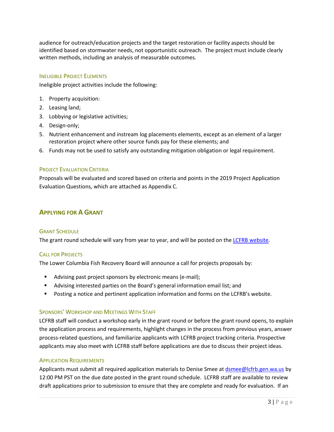audience for outreach/education projects and the target restoration or facility aspects should be identified based on stormwater needs, not opportunistic outreach. The project must include clearly written methods, including an analysis of measurable outcomes.

### <span id="page-4-0"></span>INELIGIBLE PROJECT ELEMENTS

Ineligible project activities include the following:

- 1. Property acquisition:
- 2. Leasing land;
- 3. Lobbying or legislative activities;
- 4. Design-only;
- 5. Nutrient enhancement and instream log placements elements, except as an element of a larger restoration project where other source funds pay for these elements; and
- 6. Funds may not be used to satisfy any outstanding mitigation obligation or legal requirement.

## <span id="page-4-1"></span>PROJECT EVALUATION CRITERIA

Proposals will be evaluated and scored based on criteria and points in the 2019 Project Application Evaluation Questions, which are attached as Appendix C.

# <span id="page-4-2"></span>**APPLYING FOR A GRANT**

### <span id="page-4-3"></span>**GRANT SCHEDULE**

The grant round schedule will vary from year to year, and will be posted on the [LCFRB website.](https://www.lcfrb.gen.wa.us/)

### <span id="page-4-4"></span>CALL FOR PROJECTS

The Lower Columbia Fish Recovery Board will announce a call for projects proposals by:

- Advising past project sponsors by electronic means (e-mail);
- Advising interested parties on the Board's general information email list; and
- Posting a notice and pertinent application information and forms on the LCFRB's website.

# <span id="page-4-5"></span>SPONSORS' WORKSHOP AND MEETINGS WITH STAFF

LCFRB staff will conduct a workshop early in the grant round or before the grant round opens, to explain the application process and requirements, highlight changes in the process from previous years, answer process-related questions, and familiarize applicants with LCFRB project tracking criteria. Prospective applicants may also meet with LCFRB staff before applications are due to discuss their project ideas.

### <span id="page-4-6"></span>APPLICATION REQUIREMENTS

Applicants must *s*ubmit all required application materials to Denise Smee at [dsmee@lcfrb.gen.wa.us](mailto:dsmee@lcfrb.gen.wa.us) by 12:00 PM PST on the due date posted in the grant round schedule. LCFRB staff are available to review draft applications prior to submission to ensure that they are complete and ready for evaluation. If an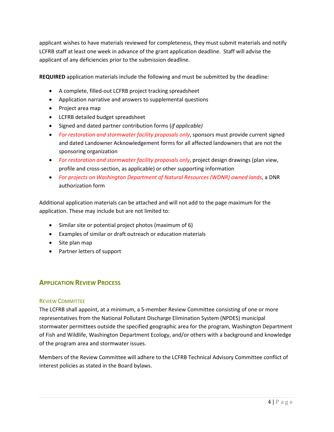applicant wishes to have materials reviewed for completeness, they must submit materials and notify LCFRB staff at least one week in advance of the grant application deadline. Staff will advise the applicant of any deficiencies prior to the submission deadline.

**REQUIRED** application materials include the following and must be submitted by the deadline:

- A complete, filled-out LCFRB project tracking spreadsheet
- Application narrative and answers to supplemental questions
- Project area map
- LCFRB detailed budget spreadsheet
- Signed and dated partner contribution forms (*if applicable)*
- *For restoration and stormwater facility proposals only*, sponsors must provide current signed and dated Landowner Acknowledgement forms for all affected landowners that are not the sponsoring organization
- *For restoration and stormwater facility proposals only*, project design drawings (plan view, profile and cross-section, as applicable) or other supporting information
- *For projects on Washington Department of Natural Resources (WDNR) owned lands*, a DNR authorization form

Additional application materials can be attached and will not add to the page maximum for the application. These may include but are not limited to:

- Similar site or potential project photos (maximum of 6)
- Examples of similar or draft outreach or education materials
- Site plan map
- Partner letters of support

# <span id="page-5-0"></span>**APPLICATION REVIEW PROCESS**

### <span id="page-5-1"></span>REVIEW COMMITTEE

The LCFRB shall appoint, at a minimum, a 5-member Review Committee consisting of one or more representatives from the National Pollutant Discharge Elimination System (NPDES) municipal stormwater permittees outside the specified geographic area for the program, Washington Department of Fish and Wildlife, Washington Department Ecology, and/or others with a background and knowledge of the program area and stormwater issues.

Members of the Review Committee will adhere to the LCFRB Technical Advisory Committee conflict of interest policies as stated in the Board bylaws.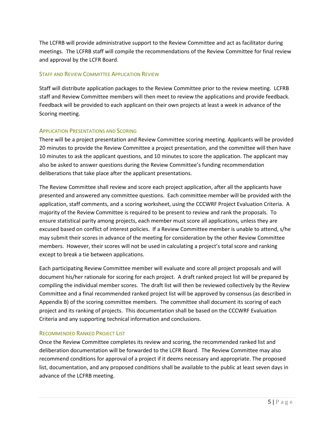The LCFRB will provide administrative support to the Review Committee and act as facilitator during meetings. The LCFRB staff will compile the recommendations of the Review Committee for final review and approval by the LCFR Board.

## <span id="page-6-0"></span>STAFF AND REVIEW COMMITTEE APPLICATION REVIEW

Staff will distribute application packages to the Review Committee prior to the review meeting. LCFRB staff and Review Committee members will then meet to review the applications and provide feedback. Feedback will be provided to each applicant on their own projects at least a week in advance of the Scoring meeting.

## <span id="page-6-1"></span>APPLICATION PRESENTATIONS AND SCORING

There will be a project presentation and Review Committee scoring meeting. Applicants will be provided 20 minutes to provide the Review Committee a project presentation, and the committee will then have 10 minutes to ask the applicant questions, and 10 minutes to score the application. The applicant may also be asked to answer questions during the Review Committee's funding recommendation deliberations that take place after the applicant presentations.

The Review Committee shall review and score each project application, after all the applicants have presented and answered any committee questions. Each committee member will be provided with the application, staff comments, and a scoring worksheet, using the CCCWRF Project Evaluation Criteria. A majority of the Review Committee is required to be present to review and rank the proposals. To ensure statistical parity among projects, each member must score all applications, unless they are excused based on conflict of interest policies. If a Review Committee member is unable to attend, s/he may submit their scores in advance of the meeting for consideration by the other Review Committee members. However, their scores will not be used in calculating a project's total score and ranking except to break a tie between applications.

Each participating Review Committee member will evaluate and score all project proposals and will document his/her rationale for scoring for each project. A draft ranked project list will be prepared by compiling the individual member scores. The draft list will then be reviewed collectively by the Review Committee and a final recommended ranked project list will be approved by consensus (as described in Appendix B) of the scoring committee members. The committee shall document its scoring of each project and its ranking of projects. This documentation shall be based on the CCCWRF Evaluation Criteria and any supporting technical information and conclusions.

### <span id="page-6-2"></span>RECOMMENDED RANKED PROJECT LIST

Once the Review Committee completes its review and scoring, the recommended ranked list and deliberation documentation will be forwarded to the LCFR Board. The Review Committee may also recommend conditions for approval of a project if it deems necessary and appropriate. The proposed list, documentation, and any proposed conditions shall be available to the public at least seven days in advance of the LCFRB meeting.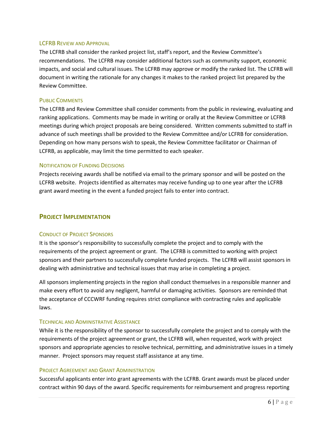### <span id="page-7-0"></span>LCFRB REVIEW AND APPROVAL

The LCFRB shall consider the ranked project list, staff's report, and the Review Committee's recommendations. The LCFRB may consider additional factors such as community support, economic impacts, and social and cultural issues. The LCFRB may approve or modify the ranked list. The LCFRB will document in writing the rationale for any changes it makes to the ranked project list prepared by the Review Committee.

#### <span id="page-7-1"></span>PUBLIC COMMENTS

The LCFRB and Review Committee shall consider comments from the public in reviewing, evaluating and ranking applications. Comments may be made in writing or orally at the Review Committee or LCFRB meetings during which project proposals are being considered. Written comments submitted to staff in advance of such meetings shall be provided to the Review Committee and/or LCFRB for consideration. Depending on how many persons wish to speak, the Review Committee facilitator or Chairman of LCFRB, as applicable, may limit the time permitted to each speaker.

### <span id="page-7-2"></span>NOTIFICATION OF FUNDING DECISIONS

Projects receiving awards shall be notified via email to the primary sponsor and will be posted on the LCFRB website. Projects identified as alternates may receive funding up to one year after the LCFRB grant award meeting in the event a funded project fails to enter into contract.

### <span id="page-7-3"></span>**PROJECT IMPLEMENTATION**

#### <span id="page-7-4"></span>CONDUCT OF PROJECT SPONSORS

It is the sponsor's responsibility to successfully complete the project and to comply with the requirements of the project agreement or grant. The LCFRB is committed to working with project sponsors and their partners to successfully complete funded projects. The LCFRB will assist sponsors in dealing with administrative and technical issues that may arise in completing a project.

All sponsors implementing projects in the region shall conduct themselves in a responsible manner and make every effort to avoid any negligent, harmful or damaging activities. Sponsors are reminded that the acceptance of CCCWRF funding requires strict compliance with contracting rules and applicable laws.

#### <span id="page-7-5"></span>TECHNICAL AND ADMINISTRATIVE ASSISTANCE

While it is the responsibility of the sponsor to successfully complete the project and to comply with the requirements of the project agreement or grant, the LCFRB will, when requested, work with project sponsors and appropriate agencies to resolve technical, permitting, and administrative issues in a timely manner. Project sponsors may request staff assistance at any time.

#### <span id="page-7-6"></span>PROJECT AGREEMENT AND GRANT ADMINISTRATION

Successful applicants enter into grant agreements with the LCFRB. Grant awards must be placed under contract within 90 days of the award. Specific requirements for reimbursement and progress reporting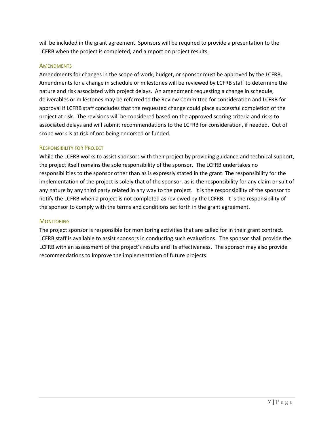will be included in the grant agreement. Sponsors will be required to provide a presentation to the LCFRB when the project is completed, and a report on project results.

### <span id="page-8-0"></span>**AMENDMENTS**

Amendments for changes in the scope of work, budget, or sponsor must be approved by the LCFRB. Amendments for a change in schedule or milestones will be reviewed by LCFRB staff to determine the nature and risk associated with project delays. An amendment requesting a change in schedule, deliverables or milestones may be referred to the Review Committee for consideration and LCFRB for approval if LCFRB staff concludes that the requested change could place successful completion of the project at risk. The revisions will be considered based on the approved scoring criteria and risks to associated delays and will submit recommendations to the LCFRB for consideration, if needed. Out of scope work is at risk of not being endorsed or funded.

# <span id="page-8-1"></span>RESPONSIBILITY FOR PROJECT

While the LCFRB works to assist sponsors with their project by providing guidance and technical support, the project itself remains the sole responsibility of the sponsor. The LCFRB undertakes no responsibilities to the sponsor other than as is expressly stated in the grant. The responsibility for the implementation of the project is solely that of the sponsor, as is the responsibility for any claim or suit of any nature by any third party related in any way to the project. It is the responsibility of the sponsor to notify the LCFRB when a project is not completed as reviewed by the LCFRB. It is the responsibility of the sponsor to comply with the terms and conditions set forth in the grant agreement.

### <span id="page-8-2"></span>**MONITORING**

The project sponsor is responsible for monitoring activities that are called for in their grant contract. LCFRB staff is available to assist sponsors in conducting such evaluations. The sponsor shall provide the LCFRB with an assessment of the project's results and its effectiveness. The sponsor may also provide recommendations to improve the implementation of future projects.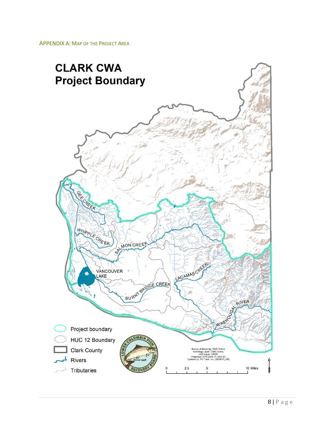<span id="page-9-0"></span>